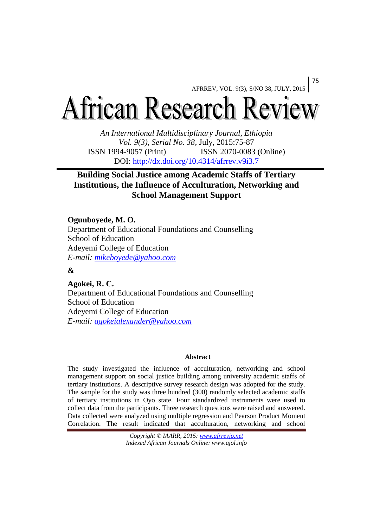**African Research Review** 

AFRREV, VOL. 9(3), S/NO 38, JULY, 2015

*An International Multidisciplinary Journal, Ethiopia Vol. 9(3), Serial No. 38,* July, 2015:75-87 ISSN 1994-9057 (Print) ISSN 2070-0083 (Online) DOI:<http://dx.doi.org/10.4314/afrrev.v9i3.7>

# **Building Social Justice among Academic Staffs of Tertiary Institutions, the Influence of Acculturation, Networking and School Management Support**

**Ogunboyede, M. O.**  Department of Educational Foundations and Counselling School of Education Adeyemi College of Education *E-mail: [mikeboyede@yahoo.com](mailto:mikeboyede@yahoo.com)*

**&**

**Agokei, R. C.**  Department of Educational Foundations and Counselling School of Education Adeyemi College of Education *E-mail: [agokeialexander@yahoo.com](mailto:agokeialexander@yahoo.com)*

# **Abstract**

The study investigated the influence of acculturation, networking and school management support on social justice building among university academic staffs of tertiary institutions. A descriptive survey research design was adopted for the study. The sample for the study was three hundred (300) randomly selected academic staffs of tertiary institutions in Oyo state. Four standardized instruments were used to collect data from the participants. Three research questions were raised and answered. Data collected were analyzed using multiple regression and Pearson Product Moment Correlation. The result indicated that acculturation, networking and school

75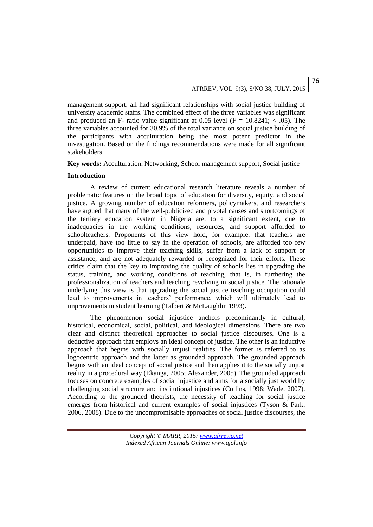management support, all had significant relationships with social justice building of university academic staffs. The combined effect of the three variables was significant and produced an F- ratio value significant at 0.05 level ( $F = 10.8241$ ; < .05). The three variables accounted for 30.9% of the total variance on social justice building of the participants with acculturation being the most potent predictor in the investigation. Based on the findings recommendations were made for all significant stakeholders.

# **Key words:** Acculturation, Networking, School management support, Social justice

# **Introduction**

A review of current educational research literature reveals a number of problematic features on the broad topic of education for diversity, equity, and social justice. A growing number of education reformers, policymakers, and researchers have argued that many of the well-publicized and pivotal causes and shortcomings of the tertiary education system in Nigeria are, to a significant extent, due to inadequacies in the working conditions, resources, and support afforded to schoolteachers. Proponents of this view hold, for example, that teachers are underpaid, have too little to say in the operation of schools, are afforded too few opportunities to improve their teaching skills, suffer from a lack of support or assistance, and are not adequately rewarded or recognized for their efforts. These critics claim that the key to improving the quality of schools lies in upgrading the status, training, and working conditions of teaching, that is, in furthering the professionalization of teachers and teaching revolving in social justice. The rationale underlying this view is that upgrading the social justice teaching occupation could lead to improvements in teachers' performance, which will ultimately lead to improvements in student learning (Talbert & McLaughlin 1993).

The phenomenon social injustice anchors predominantly in cultural, historical, economical, social, political, and ideological dimensions. There are two clear and distinct theoretical approaches to social justice discourses. One is a deductive approach that employs an ideal concept of justice. The other is an inductive approach that begins with socially unjust realities. The former is referred to as logocentric approach and the latter as grounded approach. The grounded approach begins with an ideal concept of social justice and then applies it to the socially unjust reality in a procedural way (Ekanga, 2005; Alexander, 2005). The grounded approach focuses on concrete examples of social injustice and aims for a socially just world by challenging social structure and institutional injustices (Collins, 1998; Wade, 2007). According to the grounded theorists, the necessity of teaching for social justice emerges from historical and current examples of social injustices (Tyson & Park, 2006, 2008). Due to the uncompromisable approaches of social justice discourses, the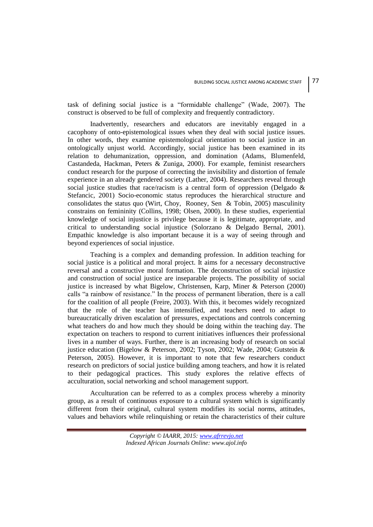task of defining social justice is a "formidable challenge" (Wade, 2007). The construct is observed to be full of complexity and frequently contradictory.

Inadvertently, researchers and educators are inevitably engaged in a cacophony of onto-epistemological issues when they deal with social justice issues. In other words, they examine epistemological orientation to social justice in an ontologically unjust world. Accordingly, social justice has been examined in its relation to dehumanization, oppression, and domination (Adams, Blumenfeld, Castandeda, Hackman, Peters & Zuniga, 2000). For example, feminist researchers conduct research for the purpose of correcting the invisibility and distortion of female experience in an already gendered society (Lather, 2004). Researchers reveal through social justice studies that race/racism is a central form of oppression (Delgado  $\&$ Stefancic, 2001) Socio-economic status reproduces the hierarchical structure and consolidates the status quo (Wirt, Choy, Rooney, Sen & Tobin, 2005) masculinity constrains on femininity (Collins, 1998; Olsen, 2000). In these studies, experiential knowledge of social injustice is privilege because it is legitimate, appropriate, and critical to understanding social injustice (Solorzano & Delgado Bernal, 2001). Empathic knowledge is also important because it is a way of seeing through and beyond experiences of social injustice.

Teaching is a complex and demanding profession. In addition teaching for social justice is a political and moral project. It aims for a necessary deconstructive reversal and a constructive moral formation. The deconstruction of social injustice and construction of social justice are inseparable projects. The possibility of social justice is increased by what Bigelow, Christensen, Karp, Miner & Peterson (2000) calls "a rainbow of resistance." In the process of permanent liberation, there is a call for the coalition of all people (Freire, 2003). With this, it becomes widely recognized that the role of the teacher has intensified, and teachers need to adapt to bureaucratically driven escalation of pressures, expectations and controls concerning what teachers do and how much they should be doing within the teaching day. The expectation on teachers to respond to current initiatives influences their professional lives in a number of ways. Further, there is an increasing body of research on social justice education (Bigelow & Peterson, 2002; Tyson, 2002; Wade, 2004; Gutstein & Peterson, 2005). However, it is important to note that few researchers conduct research on predictors of social justice building among teachers, and how it is related to their pedagogical practices. This study explores the relative effects of acculturation, social networking and school management support.

Acculturation can be referred to as a complex process whereby a minority group, as a result of continuous exposure to a cultural system which is significantly different from their original, cultural system modifies its social norms, attitudes, values and behaviors while relinquishing or retain the characteristics of their culture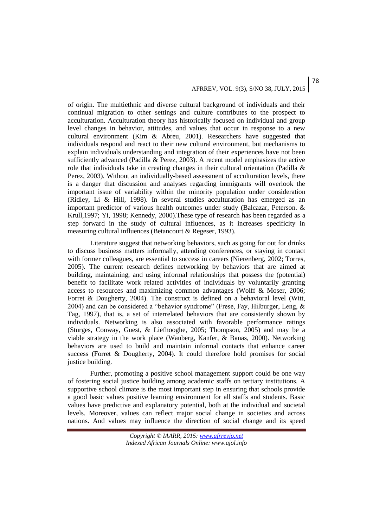of origin. The multiethnic and diverse cultural background of individuals and their continual migration to other settings and culture contributes to the prospect to acculturation. Acculturation theory has historically focused on individual and group level changes in behavior, attitudes, and values that occur in response to a new cultural environment (Kim & Abreu, 2001). Researchers have suggested that individuals respond and react to their new cultural environment, but mechanisms to explain individuals understanding and integration of their experiences have not been sufficiently advanced (Padilla & Perez, 2003). A recent model emphasizes the active role that individuals take in creating changes in their cultural orientation (Padilla  $\&$ Perez, 2003). Without an individually-based assessment of acculturation levels, there is a danger that discussion and analyses regarding immigrants will overlook the important issue of variability within the minority population under consideration (Ridley, Li & Hill, 1998). In several studies acculturation has emerged as an important predictor of various health outcomes under study (Balcazar, Peterson. & Krull,1997; Yi, 1998; Kennedy, 2000).These type of research has been regarded as a step forward in the study of cultural influences, as it increases specificity in measuring cultural influences (Betancourt & Regeser, 1993).

Literature suggest that networking behaviors, such as going for out for drinks to discuss business matters informally, attending conferences, or staying in contact with former colleagues, are essential to success in careers (Nierenberg, 2002; Torres, 2005). The current research defines networking by behaviors that are aimed at building, maintaining, and using informal relationships that possess the (potential) benefit to facilitate work related activities of individuals by voluntarily granting access to resources and maximizing common advantages (Wolff & Moser, 2006; Forret & Dougherty, 2004). The construct is defined on a behavioral level (Witt, 2004) and can be considered a "behavior syndrome" (Frese, Fay, Hilburger, Leng, & Tag, 1997), that is, a set of interrelated behaviors that are consistently shown by individuals. Networking is also associated with favorable performance ratings (Sturges, Conway, Guest, & Liefhooghe, 2005; Thompson, 2005) and may be a viable strategy in the work place (Wanberg, Kanfer, & Banas, 2000). Networking behaviors are used to build and maintain informal contacts that enhance career success (Forret & Dougherty, 2004). It could therefore hold promises for social justice building.

Further, promoting a positive school management support could be one way of fostering social justice building among academic staffs on tertiary institutions. A supportive school climate is the most important step in ensuring that schools provide a good basic values positive learning environment for all staffs and students. Basic values have predictive and explanatory potential, both at the individual and societal levels. Moreover, values can reflect major social change in societies and across nations. And values may influence the direction of social change and its speed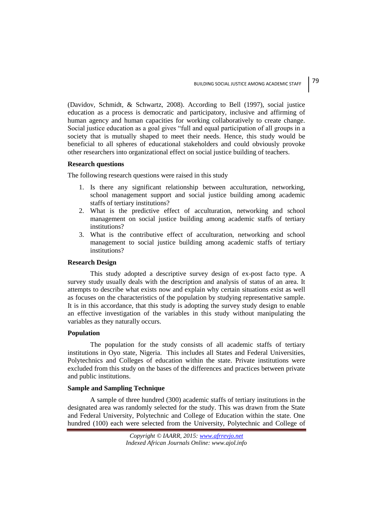79

(Davidov, Schmidt, & Schwartz, 2008). According to Bell (1997), social justice education as a process is democratic and participatory, inclusive and affirming of human agency and human capacities for working collaboratively to create change. Social justice education as a goal gives "full and equal participation of all groups in a society that is mutually shaped to meet their needs. Hence, this study would be beneficial to all spheres of educational stakeholders and could obviously provoke other researchers into organizational effect on social justice building of teachers.

#### **Research questions**

The following research questions were raised in this study

- 1. Is there any significant relationship between acculturation, networking, school management support and social justice building among academic staffs of tertiary institutions?
- 2. What is the predictive effect of acculturation, networking and school management on social justice building among academic staffs of tertiary institutions?
- 3. What is the contributive effect of acculturation, networking and school management to social justice building among academic staffs of tertiary institutions?

# **Research Design**

This study adopted a descriptive survey design of ex-post facto type. A survey study usually deals with the description and analysis of status of an area. It attempts to describe what exists now and explain why certain situations exist as well as focuses on the characteristics of the population by studying representative sample. It is in this accordance, that this study is adopting the survey study design to enable an effective investigation of the variables in this study without manipulating the variables as they naturally occurs.

### **Population**

The population for the study consists of all academic staffs of tertiary institutions in Oyo state, Nigeria. This includes all States and Federal Universities, Polytechnics and Colleges of education within the state. Private institutions were excluded from this study on the bases of the differences and practices between private and public institutions.

# **Sample and Sampling Technique**

A sample of three hundred (300) academic staffs of tertiary institutions in the designated area was randomly selected for the study. This was drawn from the State and Federal University, Polytechnic and College of Education within the state. One hundred (100) each were selected from the University, Polytechnic and College of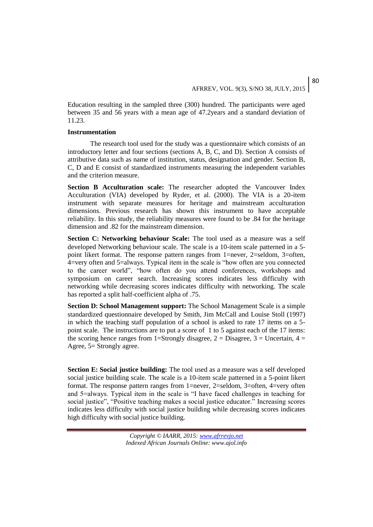Education resulting in the sampled three (300) hundred. The participants were aged between 35 and 56 years with a mean age of 47.2years and a standard deviation of 11.23.

# **Instrumentation**

The research tool used for the study was a questionnaire which consists of an introductory letter and four sections (sections A, B, C, and D). Section A consists of attributive data such as name of institution, status, designation and gender. Section B, C, D and E consist of standardized instruments measuring the independent variables and the criterion measure.

**Section B Acculturation scale:** The researcher adopted the Vancouver Index Acculturation (VIA) developed by Ryder, et al. (2000). The VIA is a 20-item instrument with separate measures for heritage and mainstream acculturation dimensions. Previous research has shown this instrument to have acceptable reliability. In this study, the reliability measures were found to be .84 for the heritage dimension and .82 for the mainstream dimension.

**Section C: Networking behaviour Scale:** The tool used as a measure was a self developed Networking behaviour scale. The scale is a 10-item scale patterned in a 5 point likert format. The response pattern ranges from 1=never, 2=seldom, 3=often, 4=very often and 5=always. Typical item in the scale is "how often are you connected to the career world", "how often do you attend conferences, workshops and symposium on career search. Increasing scores indicates less difficulty with networking while decreasing scores indicates difficulty with networking. The scale has reported a split half-coefficient alpha of .75.

**Section D: School Management support:** The School Management Scale is a simple standardized questionnaire developed by Smith, Jim McCall and Louise Stoll (1997) in which the teaching staff population of a school is asked to rate 17 items on a 5 point scale. The instructions are to put a score of 1 to 5 against each of the 17 items: the scoring hence ranges from 1=Strongly disagree,  $2 =$  Disagree,  $3 =$  Uncertain,  $4 =$ Agree, 5= Strongly agree.

**Section E: Social justice building:** The tool used as a measure was a self developed social justice building scale. The scale is a 10-item scale patterned in a 5-point likert format. The response pattern ranges from 1=never, 2=seldom, 3=often, 4=very often and 5=always. Typical item in the scale is "I have faced challenges in teaching for social justice", "Positive teaching makes a social justice educator." Increasing scores indicates less difficulty with social justice building while decreasing scores indicates high difficulty with social justice building.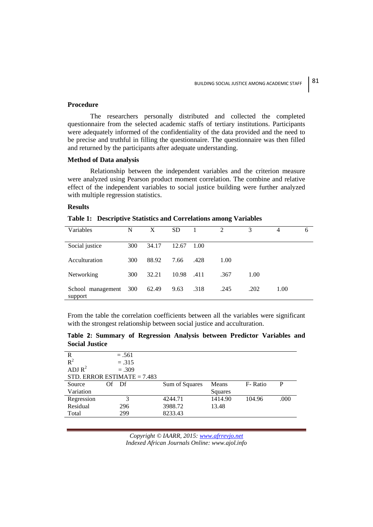### **Procedure**

The researchers personally distributed and collected the completed questionnaire from the selected academic staffs of tertiary institutions. Participants were adequately informed of the confidentiality of the data provided and the need to be precise and truthful in filling the questionnaire. The questionnaire was then filled and returned by the participants after adequate understanding.

#### **Method of Data analysis**

Relationship between the independent variables and the criterion measure were analyzed using Pearson product moment correlation. The combine and relative effect of the independent variables to social justice building were further analyzed with multiple regression statistics.

#### **Results**

# **Table 1: Descriptive Statistics and Correlations among Variables**

| Variables         | N   | X     | SD.   |      | 2    | 3    | 4    | 6 |
|-------------------|-----|-------|-------|------|------|------|------|---|
|                   |     |       |       |      |      |      |      |   |
| Social justice    | 300 | 34.17 | 12.67 | 1.00 |      |      |      |   |
|                   |     |       |       |      |      |      |      |   |
| Acculturation     | 300 | 88.92 | 7.66  | .428 | 1.00 |      |      |   |
|                   |     |       |       |      |      |      |      |   |
| Networking        | 300 | 32.21 | 10.98 | .411 | .367 | 1.00 |      |   |
|                   |     |       |       |      |      |      |      |   |
| School management | 300 | 62.49 | 9.63  | .318 | .245 | .202 | 1.00 |   |
| support           |     |       |       |      |      |      |      |   |

From the table the correlation coefficients between all the variables were significant with the strongest relationship between social justice and acculturation.

# **Table 2: Summary of Regression Analysis between Predictor Variables and Social Justice**

| $\mathbb{R}$                  |    | $=.561$ |                |                |         |      |
|-------------------------------|----|---------|----------------|----------------|---------|------|
| $R^2$                         |    | $=.315$ |                |                |         |      |
| ADJ $\mathbb{R}^2$            |    | $=.309$ |                |                |         |      |
| STD. ERROR ESTIMATE $= 7.483$ |    |         |                |                |         |      |
| Source                        | Of | Df      | Sum of Squares | Means          | F-Ratio | P    |
| Variation                     |    |         |                | <b>Squares</b> |         |      |
| Regression                    |    | 3       | 4244.71        | 1414.90        | 104.96  | .000 |
| Residual                      |    | 296     | 3988.72        | 13.48          |         |      |
| Total                         |    | 299     | 8233.43        |                |         |      |
|                               |    |         |                |                |         |      |

*Copyright © IAARR, 2015: www.afrrevjo.net Indexed African Journals Online: www.ajol.info*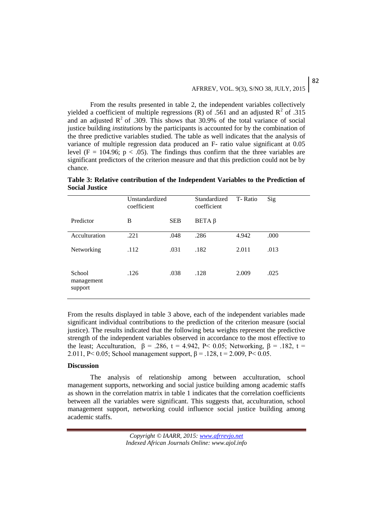From the results presented in table 2, the independent variables collectively yielded a coefficient of multiple regressions (R) of .561 and an adjusted  $\mathbb{R}^2$  of .315 and an adjusted  $R^2$  of .309. This shows that 30.9% of the total variance of social justice building *institutions* by the participants is accounted for by the combination of the three predictive variables studied. The table as well indicates that the analysis of variance of multiple regression data produced an F- ratio value significant at 0.05 level (F = 104.96;  $p < .05$ ). The findings thus confirm that the three variables are significant predictors of the criterion measure and that this prediction could not be by chance.

|                                 | Unstandardized<br>coefficient |            | Standardized<br>coefficient | T-Ratio | Sig  |
|---------------------------------|-------------------------------|------------|-----------------------------|---------|------|
| Predictor                       | B                             | <b>SEB</b> | $BETA$ $\beta$              |         |      |
| Acculturation                   | .221                          | .048       | .286                        | 4.942   | .000 |
| Networking                      | .112                          | .031       | .182                        | 2.011   | .013 |
| School<br>management<br>support | .126                          | .038       | .128                        | 2.009   | .025 |

**Table 3: Relative contribution of the Independent Variables to the Prediction of Social Justice** 

From the results displayed in table 3 above, each of the independent variables made significant individual contributions to the prediction of the criterion measure (social justice). The results indicated that the following beta weights represent the predictive strength of the independent variables observed in accordance to the most effective to the least; Acculturation,  $\beta = .286$ ,  $t = 4.942$ ,  $P < 0.05$ ; Networking,  $\beta = .182$ ,  $t =$ 2.011, P< 0.05; School management support,  $\beta$  = .128, t = 2.009, P< 0.05.

# **Discussion**

The analysis of relationship among between acculturation, school management supports, networking and social justice building among academic staffs as shown in the correlation matrix in table 1 indicates that the correlation coefficients between all the variables were significant. This suggests that, acculturation, school management support, networking could influence social justice building among academic staffs.

82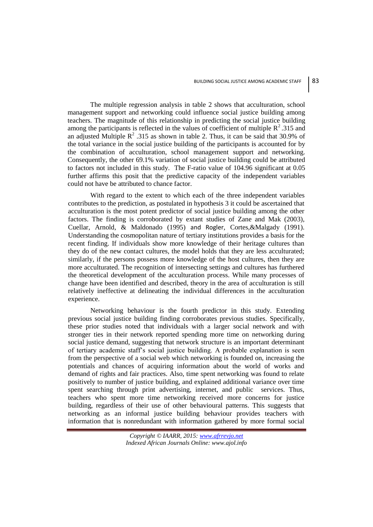#### 83 BUILDING SOCIAL JUSTICE AMONG ACADEMIC STAFF

The multiple regression analysis in table 2 shows that acculturation, school management support and networking could influence social justice building among teachers. The magnitude of this relationship in predicting the social justice building among the participants is reflected in the values of coefficient of multiple  $R^2$ .315 and an adjusted Multiple  $\mathbb{R}^2$ . 315 as shown in table 2. Thus, it can be said that 30.9% of the total variance in the social justice building of the participants is accounted for by the combination of acculturation, school management support and networking. Consequently, the other 69.1% variation of social justice building could be attributed to factors not included in this study. The F-ratio value of 104.96 significant at 0.05 further affirms this posit that the predictive capacity of the independent variables could not have be attributed to chance factor.

With regard to the extent to which each of the three independent variables contributes to the prediction, as postulated in hypothesis 3 it could be ascertained that acculturation is the most potent predictor of social justice building among the other factors. The finding is corroborated by extant studies of Zane and Mak (2003), Cuellar, Arnold, & Maldonado (1995) and Rogler, Cortes,&Malgady (1991). Understanding the cosmopolitan nature of tertiary institutions provides a basis for the recent finding. If individuals show more knowledge of their heritage cultures than they do of the new contact cultures, the model holds that they are less acculturated; similarly, if the persons possess more knowledge of the host cultures, then they are more acculturated. The recognition of intersecting settings and cultures has furthered the theoretical development of the acculturation process. While many processes of change have been identified and described, theory in the area of acculturation is still relatively ineffective at delineating the individual differences in the acculturation experience.

Networking behaviour is the fourth predictor in this study. Extending previous social justice building finding corroborates previous studies. Specifically, these prior studies noted that individuals with a larger social network and with stronger ties in their network reported spending more time on networking during social justice demand, suggesting that network structure is an important determinant of tertiary academic staff's social justice building. A probable explanation is seen from the perspective of a social web which networking is founded on, increasing the potentials and chances of acquiring information about the world of works and demand of rights and fair practices. Also, time spent networking was found to relate positively to number of justice building, and explained additional variance over time spent searching through print advertising, internet, and public services. Thus, teachers who spent more time networking received more concerns for justice building, regardless of their use of other behavioural patterns. This suggests that networking as an informal justice building behaviour provides teachers with information that is nonredundant with information gathered by more formal social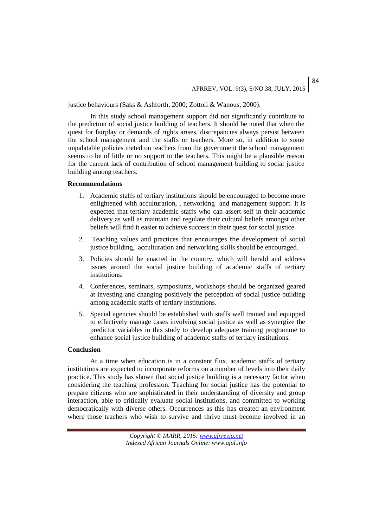justice behaviours (Saks & Ashforth, 2000; Zottoli & Wanous, 2000).

In this study school management support did not significantly contribute to the prediction of social justice building of teachers. It should be noted that when the quest for fairplay or demands of rights arises, discrepancies always persist between the school management and the staffs or teachers. More so, in addition to some unpalatable policies meted on teachers from the government the school management seems to be of little or no support to the teachers. This might be a plausible reason for the current lack of contribution of school management building to social justice building among teachers.

# **Recommendations**

- 1. Academic staffs of tertiary institutions should be encouraged to become more enlightened with acculturation, , networking and management support. It is expected that tertiary academic staffs who can assert self in their academic delivery as well as maintain and regulate their cultural beliefs amongst other beliefs will find it easier to achieve success in their quest for social justice.
- 2. Teaching values and practices that encourages the development of social justice building, acculturation and networking skills should be encouraged.
- 3. Policies should be enacted in the country, which will herald and address issues around the social justice building of academic staffs of tertiary institutions.
- 4. Conferences, seminars, symposiums, workshops should be organized geared at investing and changing positively the perception of social justice building among academic staffs of tertiary institutions.
- 5. Special agencies should be established with staffs well trained and equipped to effectively manage cases involving social justice as well as synergize the predictor variables in this study to develop adequate training programme to enhance social justice building of academic staffs of tertiary institutions.

# **Conclusion**

At a time when education is in a constant flux, academic staffs of tertiary institutions are expected to incorporate reforms on a number of levels into their daily practice. This study has shown that social justice building is a necessary factor when considering the teaching profession. Teaching for social justice has the potential to prepare citizens who are sophisticated in their understanding of diversity and group interaction, able to critically evaluate social institutions, and committed to working democratically with diverse others. Occurrences as this has created an environment where those teachers who wish to survive and thrive must become involved in an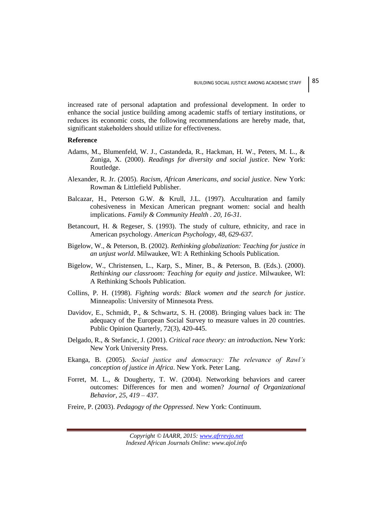increased rate of personal adaptation and professional development. In order to enhance the social justice building among academic staffs of tertiary institutions, or reduces its economic costs, the following recommendations are hereby made, that, significant stakeholders should utilize for effectiveness.

#### **Reference**

- Adams, M., Blumenfeld, W. J., Castandeda, R., Hackman, H. W., Peters, M. L., & Zuniga, X. (2000). *Readings for diversity and social justice*. New York: Routledge.
- Alexander, R. Jr. (2005). *Racism, African Americans, and social justice*. New York: Rowman & Littlefield Publisher.
- Balcazar, H., Peterson G.W. & Krull, J.L. (1997). Acculturation and family cohesiveness in Mexican American pregnant women: social and health implications. *Family & Community Health . 20, 16-31.*
- Betancourt, H. & Regeser, S. (1993). The study of culture, ethnicity, and race in American psychology. *American Psychology, 48, 629-637.*
- Bigelow, W., & Peterson, B. (2002). *Rethinking globalization: Teaching for justice in an unjust world*. Milwaukee, WI: A Rethinking Schools Publication.
- Bigelow, W., Christensen, L., Karp, S., Miner, B., & Peterson, B. (Eds.). (2000). *Rethinking our classroom: Teaching for equity and justice*. Milwaukee, WI: A Rethinking Schools Publication.
- Collins, P. H. (1998). *Fighting words: Black women and the search for justice*. Minneapolis: University of Minnesota Press.
- Davidov, E., Schmidt, P., & Schwartz, S. H. (2008). Bringing values back in: The adequacy of the European Social Survey to measure values in 20 countries. Public Opinion Quarterly, 72(3), 420-445.
- Delgado, R., & Stefancic, J. (2001). *Critical race theory: an introduction***.** New York: New York University Press.
- Ekanga, B. (2005). *Social justice and democracy: The relevance of Rawl's conception of justice in Africa*. New York. Peter Lang.
- Forret, M. L., & Dougherty, T. W. (2004). Networking behaviors and career outcomes: Differences for men and women? *Journal of Organizational Behavior, 25, 419 – 437.*
- Freire, P. (2003). *Pedagogy of the Oppressed*. New York: Continuum.

*Copyright © IAARR, 2015: www.afrrevjo.net Indexed African Journals Online: www.ajol.info*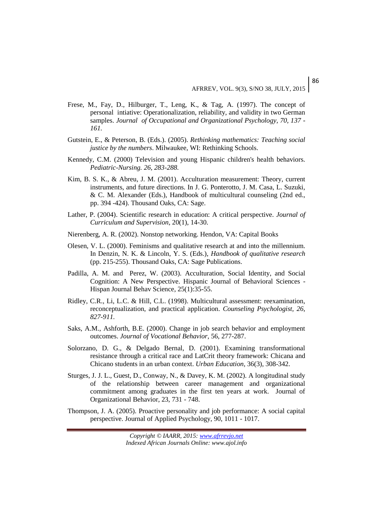- Frese, M., Fay, D., Hilburger, T., Leng, K., & Tag, A. (1997). The concept of personal intiative: Operationalization, reliability, and validity in two German samples. *Journal of Occupational and Organizational Psychology, 70, 137 - 161.*
- Gutstein, E., & Peterson, B. (Eds.). (2005). *Rethinking mathematics: Teaching social justice by the numbers*. Milwaukee, WI: Rethinking Schools.
- Kennedy, C.M. (2000) Television and young Hispanic children's health behaviors. *Pediatric-Nursing. 26, 283-288.*
- Kim, B. S. K., & Abreu, J. M. (2001). Acculturation measurement: Theory, current instruments, and future directions. In J. G. Ponterotto, J. M. Casa, L. Suzuki, & C. M. Alexander (Eds.), Handbook of multicultural counseling (2nd ed., pp. 394 -424). Thousand Oaks, CA: Sage.
- Lather, P. (2004). Scientific research in education: A critical perspective. *Journal of Curriculum and Supervision*, 20(1), 14-30.
- Nierenberg, A. R. (2002). Nonstop networking. Hendon, VA: Capital Books
- Olesen, V. L. (2000). Feminisms and qualitative research at and into the millennium. In Denzin, N. K. & Lincoln, Y. S. (Eds.), *Handbook of qualitative research*  (pp. 215-255). Thousand Oaks, CA: Sage Publications.
- Padilla, A. M. and Perez, W. (2003). Acculturation, Social Identity, and Social Cognition: A New Perspective. Hispanic Journal of Behavioral Sciences - Hispan Journal Behav Science, 25(1):35-55.
- Ridley, C.R., Li, L.C. & Hill, C.L. (1998). Multicultural assessment: reexamination, reconceptualization, and practical application. *Counseling Psychologist, 26, 827-911.*
- Saks, A.M., Ashforth, B.E. (2000). Change in job search behavior and employment outcomes. *Journal of Vocational Behavior*, 56, 277-287.
- Solorzano, D. G., & Delgado Bernal, D. (2001). Examining transformational resistance through a critical race and LatCrit theory framework: Chicana and Chicano students in an urban context. *Urban Education*, 36(3), 308-342.
- Sturges, J. J. L., Guest, D., Conway, N., & Davey, K. M. (2002). A longitudinal study of the relationship between career management and organizational commitment among graduates in the first ten years at work. Journal of Organizational Behavior, 23, 731 - 748.
- Thompson, J. A. (2005). Proactive personality and job performance: A social capital perspective. Journal of Applied Psychology, 90, 1011 - 1017.